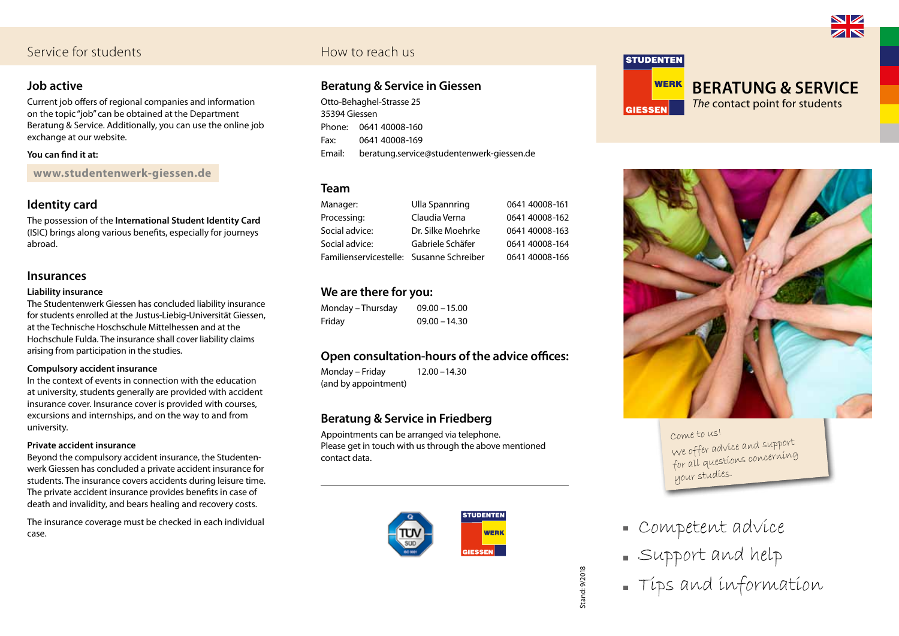# Service for students Service for students

### **Job active**

Current job offers of regional companies and information on the topic "job" can be obtained at the Department Beratung & Service. Additionally, you can use the online job exchange at our website.

### **You can find it at:**

**www.studentenwerk-giessen.de**

# **Identity card**

The possession of the **International Student Identity Card** (ISIC) brings along various benefits, especially for journeys abroad.

### **Insurances**

### **Liability insurance**

The Studentenwerk Giessen has concluded liability insurance for students enrolled at the Justus-Liebig-Universität Giessen, at the Technische Hoschschule Mittelhessen and at the Hochschule Fulda. The insurance shall cover liability claims arising from participation in the studies.

### **Compulsory accident insurance**

In the context of events in connection with the education at university, students generally are provided with accident insurance cover. Insurance cover is provided with courses, excursions and internships, and on the way to and from university.

### **Private accident insurance**

Beyond the compulsory accident insurance, the Studentenwerk Giessen has concluded a private accident insurance for students. The insurance covers accidents during leisure time. The private accident insurance provides benefits in case of death and invalidity, and bears healing and recovery costs.

The insurance coverage must be checked in each individual case.

# **Beratung & Service in Giessen**

Otto-Behaghel-Strasse 25 35394 Giessen Phone: 0641 40008-160 Fax: 0641 40008-169 Email: beratung.service@studentenwerk-giessen.de

### **Team**

Manager: Ulla Spannring 0641 40008-161 Processing: Claudia Verna 0641 40008-162 Social advice: Dr. Silke Moehrke 0641 40008-163 Social advice: Gabriele Schäfer 0641 40008-164 Familienservicestelle: Susanne Schreiber 0641 40008-166

# **We are there for you:**

Monday – Thursday 09.00 –15.00 Friday 09.00 –14.30

# **Open consultation-hours of the advice offices:**

Monday – Friday 12.00 –14.30 (and by appointment)

# **Beratung & Service in Friedberg**

Appointments can be arranged via telephone. Please get in touch with us through the above mentioned contact data.

> **STUDENTEN WERK GIFSSEN**



**GIESSEN** 

**WERK Beratung & Service** *The* contact point for students



Come to us! We offer advice and support for all questions concerning your studies.

- Competent advice
- Support and help
- Tips and information